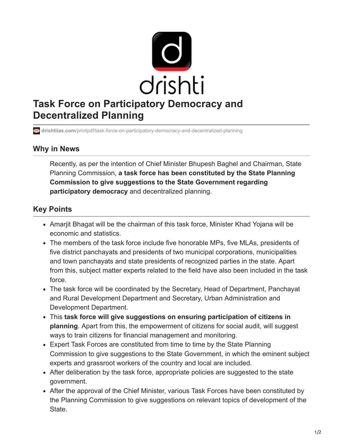

**drishtiias.com**[/printpdf/task-force-on-participatory-democracy-and-decentralized-planning](https://www.drishtiias.com/printpdf/task-force-on-participatory-democracy-and-decentralized-planning)

## **Why in News**

Recently, as per the intention of Chief Minister Bhupesh Baghel and Chairman, State Planning Commission, **a task force has been constituted by the State Planning Commission to give suggestions to the State Government regarding participatory democracy** and decentralized planning.

## **Key Points**

- Amarjit Bhagat will be the chairman of this task force, Minister Khad Yojana will be economic and statistics.
- The members of the task force include five honorable MPs, five MLAs, presidents of five district panchayats and presidents of two municipal corporations, municipalities and town panchayats and state presidents of recognized parties in the state. Apart from this, subject matter experts related to the field have also been included in the task force.
- The task force will be coordinated by the Secretary, Head of Department, Panchayat and Rural Development Department and Secretary, Urban Administration and Development Department.
- This **task force will give suggestions on ensuring participation of citizens in planning**. Apart from this, the empowerment of citizens for social audit, will suggest ways to train citizens for financial management and monitoring.
- Expert Task Forces are constituted from time to time by the State Planning Commission to give suggestions to the State Government, in which the eminent subject experts and grassroot workers of the country and local are included.
- After deliberation by the task force, appropriate policies are suggested to the state government.
- After the approval of the Chief Minister, various Task Forces have been constituted by the Planning Commission to give suggestions on relevant topics of development of the State.